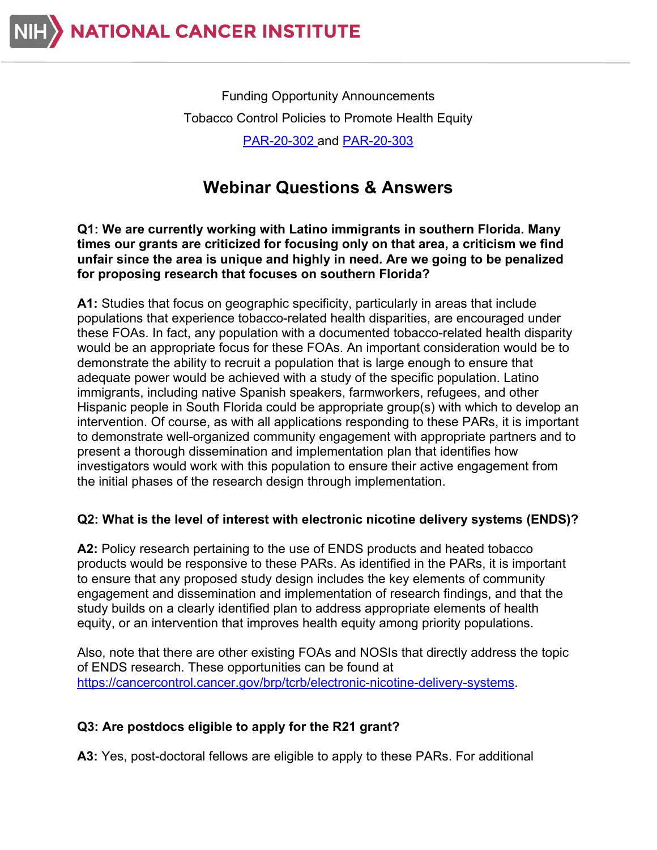

Funding Opportunity Announcements Tobacco Control Policies to Promote Health Equity [PAR-20-302](https://grants.nih.gov/grants/guide/pa-files/par-20-302.html) and [PAR-20-303](https://grants.nih.gov/grants/guide/pa-files/par-20-303.html)

# **Webinar Questions & Answers**

**Q1: We are currently working with Latino immigrants in southern Florida. Many times our grants are criticized for focusing only on that area, a criticism we find unfair since the area is unique and highly in need. Are we going to be penalized for proposing research that focuses on southern Florida?**

**A1:** Studies that focus on geographic specificity, particularly in areas that include populations that experience tobacco-related health disparities, are encouraged under these FOAs. In fact, any population with a documented tobacco-related health disparity would be an appropriate focus for these FOAs. An important consideration would be to demonstrate the ability to recruit a population that is large enough to ensure that adequate power would be achieved with a study of the specific population. Latino immigrants, including native Spanish speakers, farmworkers, refugees, and other Hispanic people in South Florida could be appropriate group(s) with which to develop an intervention. Of course, as with all applications responding to these PARs, it is important to demonstrate well-organized community engagement with appropriate partners and to present a thorough dissemination and implementation plan that identifies how investigators would work with this population to ensure their active engagement from the initial phases of the research design through implementation.

### **Q2: What is the level of interest with electronic nicotine delivery systems (ENDS)?**

**A2:** Policy research pertaining to the use of ENDS products and heated tobacco products would be responsive to these PARs. As identified in the PARs, it is important to ensure that any proposed study design includes the key elements of community engagement and dissemination and implementation of research findings, and that the study builds on a clearly identified plan to address appropriate elements of health equity, or an intervention that improves health equity among priority populations.

Also, note that there are other existing FOAs and NOSIs that directly address the topic of ENDS research. These opportunities can be found at [https://cancercontrol.cancer.gov/brp/tcrb/electronic-nicotine-delivery-systems.](https://cancercontrol.cancer.gov/brp/tcrb/electronic-nicotine-delivery-systems)

### **Q3: Are postdocs eligible to apply for the R21 grant?**

**A3:** Yes, post-doctoral fellows are eligible to apply to these PARs. For additional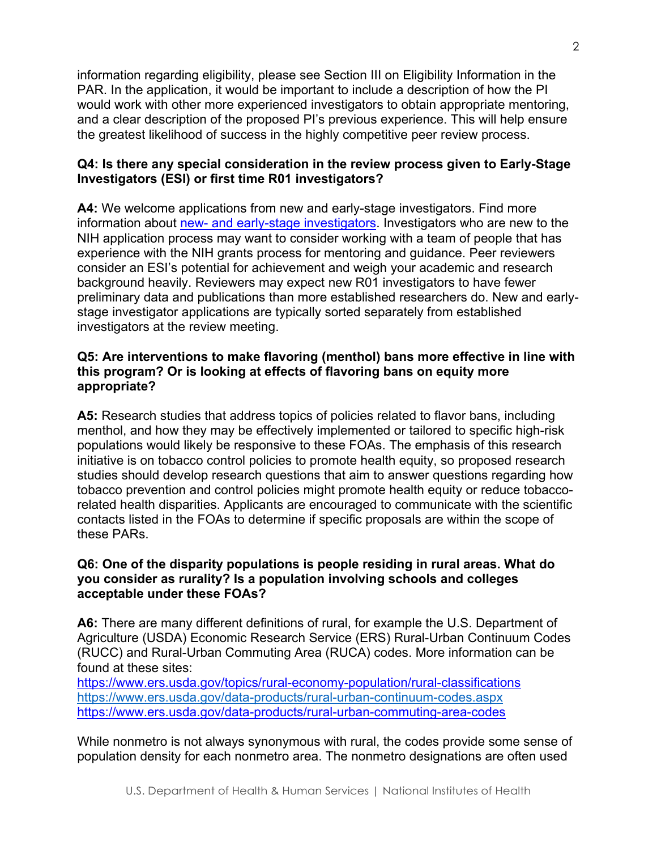information regarding eligibility, please see Section III on Eligibility Information in the PAR. In the application, it would be important to include a description of how the PI would work with other more experienced investigators to obtain appropriate mentoring, and a clear description of the proposed PI's previous experience. This will help ensure the greatest likelihood of success in the highly competitive peer review process.

## **Q4: Is there any special consideration in the review process given to Early-Stage Investigators (ESI) or first time R01 investigators?**

**A4:** We welcome applications from new and early-stage investigators. Find more information about [new- and early-stage investigators.](https://cancercontrol.cancer.gov/brp/funding/new-and-early-stage-investigators) Investigators who are new to the NIH application process may want to consider working with a team of people that has experience with the NIH grants process for mentoring and guidance. Peer reviewers consider an ESI's potential for achievement and weigh your academic and research background heavily. Reviewers may expect new R01 investigators to have fewer preliminary data and publications than more established researchers do. New and earlystage investigator applications are typically sorted separately from established investigators at the review meeting.

### **Q5: Are interventions to make flavoring (menthol) bans more effective in line with this program? Or is looking at effects of flavoring bans on equity more appropriate?**

**A5:** Research studies that address topics of policies related to flavor bans, including menthol, and how they may be effectively implemented or tailored to specific high-risk populations would likely be responsive to these FOAs. The emphasis of this research initiative is on tobacco control policies to promote health equity, so proposed research studies should develop research questions that aim to answer questions regarding how tobacco prevention and control policies might promote health equity or reduce tobaccorelated health disparities. Applicants are encouraged to communicate with the scientific contacts listed in the FOAs to determine if specific proposals are within the scope of these PARs.

## **Q6: One of the disparity populations is people residing in rural areas. What do you consider as rurality? Is a population involving schools and colleges acceptable under these FOAs?**

**A6:** There are many different definitions of rural, for example the U.S. Department of Agriculture (USDA) Economic Research Service (ERS) Rural-Urban Continuum Codes (RUCC) and Rural-Urban Commuting Area (RUCA) codes. More information can be found at these sites:

<https://www.ers.usda.gov/topics/rural-economy-population/rural-classifications> <https://www.ers.usda.gov/data-products/rural-urban-continuum-codes.aspx> <https://www.ers.usda.gov/data-products/rural-urban-commuting-area-codes>

While nonmetro is not always synonymous with rural, the codes provide some sense of population density for each nonmetro area. The nonmetro designations are often used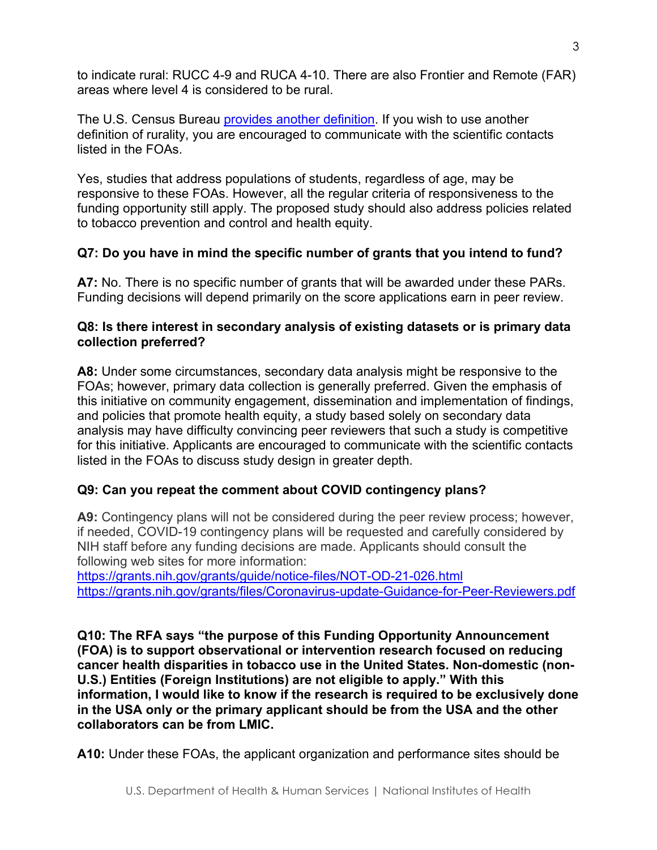to indicate rural: RUCC 4-9 and RUCA 4-10. There are also Frontier and Remote (FAR) areas where level 4 is considered to be rural.

The U.S. Census Bureau [provides another definition.](https://mtgis-portal.geo.census.gov/arcgis/apps/MapSeries/index.html?appid=49cd4bc9c8eb444ab51218c1d5001ef6#map) If you wish to use another definition of rurality, you are encouraged to communicate with the scientific contacts listed in the FOAs.

Yes, studies that address populations of students, regardless of age, may be responsive to these FOAs. However, all the regular criteria of responsiveness to the funding opportunity still apply. The proposed study should also address policies related to tobacco prevention and control and health equity.

# **Q7: Do you have in mind the specific number of grants that you intend to fund?**

**A7:** No. There is no specific number of grants that will be awarded under these PARs. Funding decisions will depend primarily on the score applications earn in peer review.

## **Q8: Is there interest in secondary analysis of existing datasets or is primary data collection preferred?**

**A8:** Under some circumstances, secondary data analysis might be responsive to the FOAs; however, primary data collection is generally preferred. Given the emphasis of this initiative on community engagement, dissemination and implementation of findings, and policies that promote health equity, a study based solely on secondary data analysis may have difficulty convincing peer reviewers that such a study is competitive for this initiative. Applicants are encouraged to communicate with the scientific contacts listed in the FOAs to discuss study design in greater depth.

# **Q9: Can you repeat the comment about COVID contingency plans?**

**A9:** Contingency plans will not be considered during the peer review process; however, if needed, COVID-19 contingency plans will be requested and carefully considered by NIH staff before any funding decisions are made. Applicants should consult the following web sites for more information:

<https://grants.nih.gov/grants/guide/notice-files/NOT-OD-21-026.html> <https://grants.nih.gov/grants/files/Coronavirus-update-Guidance-for-Peer-Reviewers.pdf>

**Q10: The RFA says "the purpose of this Funding Opportunity Announcement (FOA) is to support observational or intervention research focused on reducing cancer health disparities in tobacco use in the United States. Non-domestic (non-U.S.) Entities (Foreign Institutions) are not eligible to apply." With this information, I would like to know if the research is required to be exclusively done in the USA only or the primary applicant should be from the USA and the other collaborators can be from LMIC.**

**A10:** Under these FOAs, the applicant organization and performance sites should be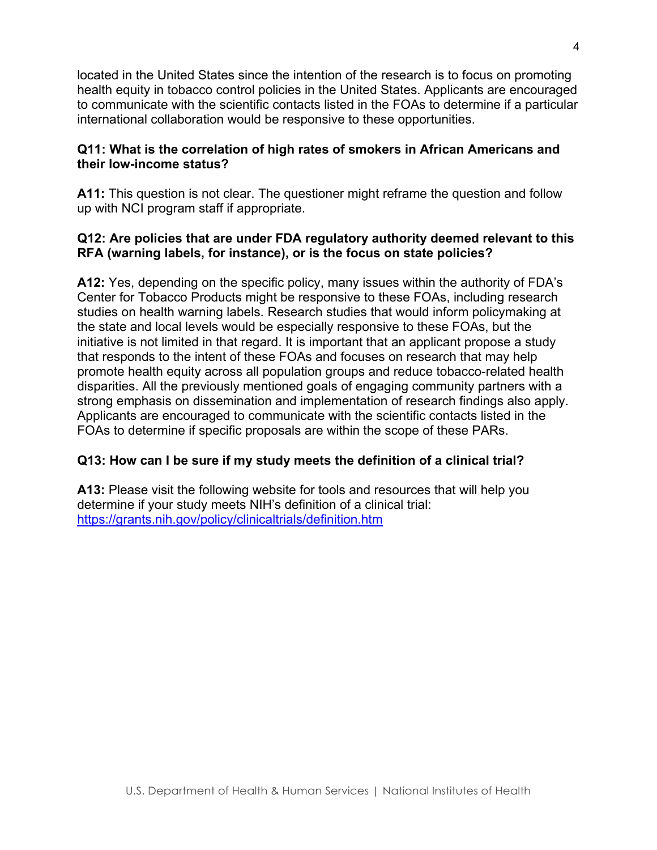located in the United States since the intention of the research is to focus on promoting health equity in tobacco control policies in the United States. Applicants are encouraged to communicate with the scientific contacts listed in the FOAs to determine if a particular international collaboration would be responsive to these opportunities.

## **Q11: What is the correlation of high rates of smokers in African Americans and their low-income status?**

**A11:** This question is not clear. The questioner might reframe the question and follow up with NCI program staff if appropriate.

# **Q12: Are policies that are under FDA regulatory authority deemed relevant to this RFA (warning labels, for instance), or is the focus on state policies?**

**A12:** Yes, depending on the specific policy, many issues within the authority of FDA's Center for Tobacco Products might be responsive to these FOAs, including research studies on health warning labels. Research studies that would inform policymaking at the state and local levels would be especially responsive to these FOAs, but the initiative is not limited in that regard. It is important that an applicant propose a study that responds to the intent of these FOAs and focuses on research that may help promote health equity across all population groups and reduce tobacco-related health disparities. All the previously mentioned goals of engaging community partners with a strong emphasis on dissemination and implementation of research findings also apply. Applicants are encouraged to communicate with the scientific contacts listed in the FOAs to determine if specific proposals are within the scope of these PARs.

# **Q13: How can I be sure if my study meets the definition of a clinical trial?**

**A13:** Please visit the following website for tools and resources that will help you determine if your study meets NIH's definition of a clinical trial: <https://grants.nih.gov/policy/clinicaltrials/definition.htm>